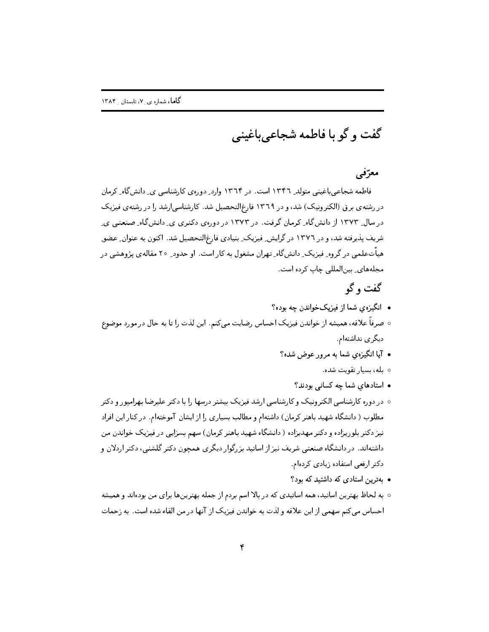## گفت و گو با فاطمه شجاعی باغینی

## معرّفی

فاطمه شجاعی باغینی متولد ۱۳۴۶ است. در ۱۳۶۴ وارد ِ دوروی کارشناسی ی ِ دانش گاه کرمان در رشته ی برق (الکترونیک) شد، و در ۱۳۶۹ فارغ|لتحصیل شد. کارشناسی|رشد را در رشتهی فیزیک در سال ۱۳۷۳ از دانش گاه ِ کرمان گرفت. در ۱۳۷۳ در دورهی دکتری ی ِ دانش گاه ِ صنعتی ی ِ شریف پذیرفته شد، و در ۱۳۷۲ در گرایش ِ فیزیک ِ بنیادی فارغالتحصیل شد. اکنون به عنوان ِ عضو ِ هیأتعلمی در گروه ِ فیزیک ِ دانشگاه ِ تهران مشغول به کار است. او حدود ِ ۲۰ مقالهی پژوهشی در مجلههای ِ بینالمللی چاپ کرده است.

## گفت و گو

- انگیزهی شما از فیزیکخواندن چه بوده؟
- صرفاً علاقه، همیشه از خواندن فیزیک احساس رضایت میکنم. این لذت را تا به حال در مورد موضوع دیگری نداشتهام.
	- آیا انگیزهی شما به مرور عوض شده؟
		- بله، بسيار تقويت شده.
		- استادهای شما چه کسانی بودند؟
- در دوره کارشناسی الکترونیک و کارشناسی ارشد فیزیک بیشتر درسها را با دکتر علیرضا بهرامپور و دکتر مطلوب ( دانشگاه شهید باهنر کرمان) داشتهام و مطالب بسیاری را از ایشان آموختهام. در کنار این افراد نیز دکتر بلوریزاده و دکتر مهدیزاده ( دانشگاه شهید باهنر کرمان) سهم بسزایی در فیزیک خواندن من داشتهاند. در دانشگاه صنعتبی شریف نیز از اساتید بزرگوار دیگری همچون دکتر گلشنبی، دکتر اردلان و دکتر ارفعی استفاده زیادی کردهام.
	- بهترین استادی که داشتید که بود؟
- به لحاظ بهترین اساتید، همه اساتیدی که در بالا اسم بردم از جمله بهترینها برای من بودهاند و همیشه احساس می کنم سهمی از این علاقه و لذت به خواندن فیزیک از آنها در من القاءشده است. به زحمات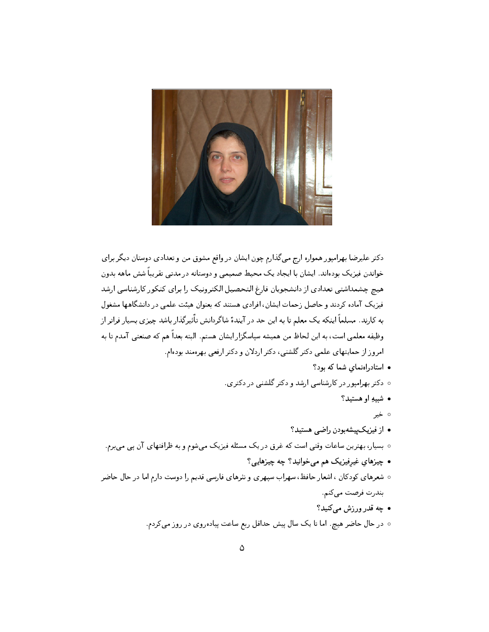

دکتر علیرضا بهرامیور همواره ارج میگذارم چون ایشان در واقع مشوق من و تعدادی دوستان دیگر برای خواندن فیزیک بودهاند. ایشان با ایجاد یک محیط صمیمی و دوستانه در مدتبی تقریباً شش ماهه بدون هيچ چشمداشتي تعدادي از دانشجويان فارغ التحصيل الكترونيك را براي كنكور كارشناسي ارشد فیزیک آماده کردند و حاصل زحمات ایشان، افرادی هستند که بعنوان هیئت علمی در دانشگاهها مشغول به کارند. مسلماً اینکه یک معلم تا به این حد در آیندهٔ شاگردانش تأثیرگذار باشد چیزی بسیار فراتر از وظيفه معلمي است، به اين لحاظ من هميشه سياسگزار ايشان هستم. البته بعداً هم كه صنعتي آمدم تا به امروز از حمایتهای علمی دکتر گلشنی، دکتر اردلان و دکتر ارفعی بهرهمند بودهام. • استادراهنمای شما که بود؟ ○ دکتر بهرامپور در کارشناسی ارشد و دکتر گلشنی در دکتری. • شبيهِ او هستيد؟ ⊙ خير • از فیزیک پیشهبودن راضبی هستید؟ ○ بسیار، بهترین ساعات وقتبی است که غرق در یک مسئله فیزیک میشوم و به ظرافتهای آن پی می,برم. • چیزهای غیرفیزیک هم می خوانید؟ چه چیزهایی؟ ○ شعرهای کودکان ، اشعار حافظ، سهراب سپهری و نثرهای فارسی قدیم را دوست دارم اما در حال حاضر بندرت فرصت مي كنم. • چه قدر ورزش مىكنيد؟ ○ در حال حاضر هیچ. اما تا یک سال پیش حداقل ربع ساعت پیادهروی در روز می کردم.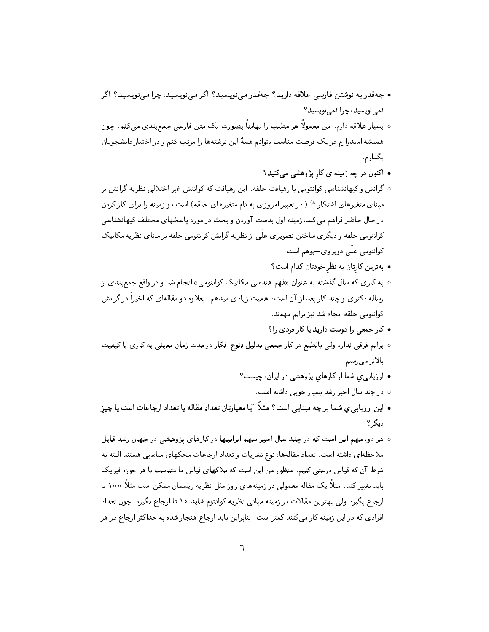- چەقدر بە نوشتن فارسى علاقە داريد؟ چەقدر مے نويسيد؟ اگر مے نويسيد، چرا مے نويسيد؟ اگر نمي نويسيد، چرا نمي نويسيد؟
- بسیار علاقه دارم. من معمولاً هر مطلب را نهایتاً بصورت یک متن فارسی جمع بندی می کنم. چون همیشه امیدوارم در یک فرصت مناسب بتوانم همهٔ این نوشتهها را مرتب کنم و در اختیار دانشجویان ىگذارم.
	- اکنون در چه زمینهای کار پژوهشی میکنید؟
- گرانش و کیهانشناسی کوانتومی با رهیافت حلقه . این رهیافت که کوانتش غیر اختلالی نظریه گرانش بر مبنای متغیرهای اَشتکار <sup>۵)</sup> ( در تعبیر امروزی به نام متغیرهای حلقه) است دو زمینه را برای کار کردن در حال حاضر فراهم می کند، زمینه اول بدست آوردن و بحث در مورد پاسخهای مختلف کیهانشناسی کوانتومی حلقه و دیگری ساختن تصویری علّی از نظریه گرانش کوانتومی حلقه بر مبنای نظریه مکانیک کوانتومی علّٰی دوبروی—بوهم است.
	- بهترین کارتان به نظر خودِتان کدام است؟
- ۰ به کاری که سال گذشته به عنوان «فهم هندسی مکانیک کوانتومی» انجام شد و در واقع جمع بندی از رساله دکتری و چند کار بعد از آن است، اهمیت زیادی میدهم. بعلاوه دو مقالهای که اخیراً در گرانش كوانتومى حلقه انجام شد نيز برايم مهمند.
	- کار جمعی را دوست دارید یا کار فردی را؟
- برایم فرقبی ندارد ولیی بالطبع در کار جمعی بدلیل تنوع افکار در مدت زمان معینیی به کاری با کیفیت بالاتر مىرسيم.
	- ارزیابی یِ شما از کارهایِ پژوهشی در ایران، چیست؟
		- در چند سال اخیر رشد بسیار خوبی داشته است.
- این ارزیابیی، شما بر چه مبنایی است؟ مثلاً آیا معیارتان تعدادِ مقاله یا تعداد ارجاعات است یا چیز رنگ ؟
- هر دو، مهم اين است كه در چند سال اخير سهم ايرانيها در كارهاي پژوهشي در جهان رشد قابل ملاحظهای داشته است. تعداد مقالهها، نوع نشریات و تعداد ارجاعات محکهای مناسبی هستند البته به شرط آن که قیاس درستی کنیم. منظور من این است که ملاکهای قیاس ما متناسب با هر حوزه فیزیک باید تغییر کند. مثلاً یک مقاله معمولیی در زمینههای روز مثل نظریه ریسمان ممکن است مثلاً ۱۰۰ تا ارجاع بگیرد ولی بهترین مقالات در زمینه مبانی نظریه کوانتوم شاید ۱۰ تا ارجاع بگیرد، چون تعداد افرادی که در این زمینه کار میکنند کمتر است. بنابراین باید ارجاع هنجار شده به حداکثر ارجاع در هر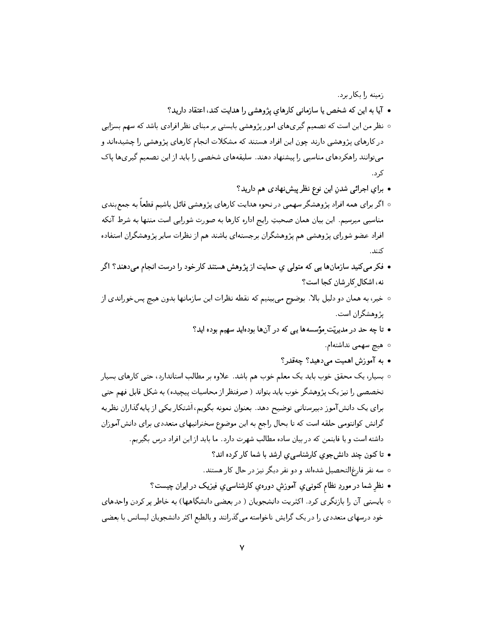زمینه ,ا یکا, برد. • آیا به این که شخص یا سازمانی کارهای پژوهشی را هدایت کند، اعتقاد دارید؟ ○ نظر من این است که تصمیم گیریهای امور پژوهشی بایستی بر مبنای نظر افرادی باشد که سهم بسزایی در کارهای پژوهشی دارند چون این افراد هستند که مشکلات انجام کارهای پژوهشی را چشیدهاند و میتوانند راهکردهای مناسبی را پیشنهاد دهند. سلیقههای شخصی را باید از این تصمیم گیریها یاک کر د .

- براي اجرائي شدنِ اين نوع نظر پيشنهادي هم داريد؟
- اگر برای همه افراد پژوهشگر سهمی در نحوه هدایت کارهای پژوهشی قائل باشیم قطعاً به جمع بندی مناسبی میرسیم. این بیان همان صحبتِ رایج اداره کارها به صورت شورایی است منتها به شرط آنکه افراد عضو شورای پژوهشی هم پژوهشگران برجستهای باشند هم از نظرات سایر پژوهشگران استفاده كنند.
- فکر میکنید سازمانها یی که متولی یِ حمایت از پژوهش هستند کارِخود را درست انجام میدهند؟ اگر نه، اشکال کار شان کجا است؟
- خیر، به همان دو دلیل بالا. بوضوح میبینیم که نقطه نظرات این سازمانها بدون هیچ پسخوراندی از بژوهشگران است.
	- تا چه حد در مدیریّت مؤسسهها یی که در آنها بودهاید سهیم بوده اید؟
		- هیچ سهمی نداشتهام.
		- به آموزش اهمیت میردهید؟ چهقدر؟
- بسیار، یک محقق خوب باید یک معلم خوب هم باشد. علاوه بر مطالب استاندارد، حتبی کارهای بسیار تخصصی را نیز یک پژوهشگر خوب باید بتواند ( صرفنظر از محاسبات پیچیده) به شکل قابل فهم حتبی برای یک دانش آموز دبیرستانی توضیح دهد. بعنوان نمونه بگویم، اَشتکار یکی از پایهگذاران نظریه گرانش کوانتومی حلقه است که تا بحال راجع به این موضوع سخنرانیهای متعددی برای دانشآموزان داشته است و یا فاینمن که در بیان ساده مطالب شهرت دارد . ما باید از این افراد درس بگیریم.
	- تا کنون چند دانشجوی کارشناسی ی ارشد با شما کار کرده اند؟
	- سه نفر فارغ|لتحصیل شده|ند و دو نفر دیگر نیز در حال کار هستند.
	- نظر شما در موردِ نظام کنونبی ی آموزش دورهی کارشناسهی فیزیک در ایران چیست؟
- بایستی آن را بازنگری کرد. اکثریت دانشجویان ( در بعضی دانشگاهها) به خاطر پر کردن واحدهای خود درسهای متعددی را در یک گرایش ناخواسته میگذرانند و بالطبع اکثر دانشجویان لیسانس با بعضی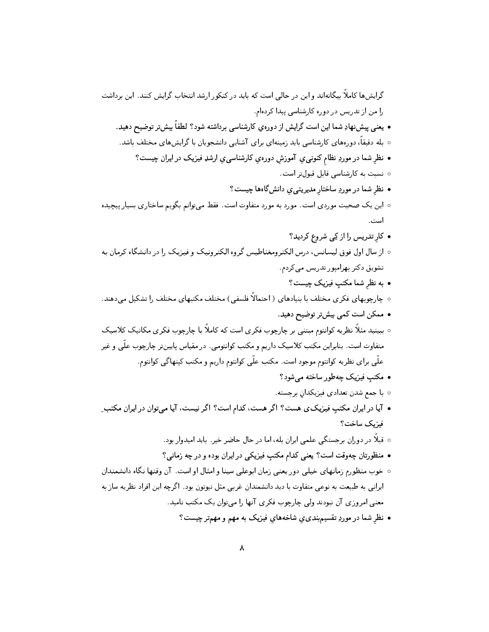| گرایشها کاملاً بیگانهاند و این در حالی است که باید در کنکور ارشد انتخاب گرایش کنند. این برداشت            |
|-----------------------------------------------------------------------------------------------------------|
| را من از تدریس در دوره کارشناسی پیدا کردهام.                                                              |
| • يعنى پيشنهادِ شما اين است گرايش از دورەي كارشناسى برداشته شود؟ لطفاً بيشتر توضيح دهيد.                  |
| ۰ بله دقیقاً، دورههای کارشناسی باید زمینهای برای آشنایی دانشجویان با گرایش۵های مختلف باشد.                |
| • نظرِ شما در موردِ نظام کنون <sub>گ</sub> یِ آموزشِ دورهیِ کارشناسی <i>یِ ارشدِ فیزیک در ایران چیست؟</i> |
| · نسبت به کارشناسی قابل قبول تر است.                                                                      |
| • نظرِ شما در موردِ ساختارِ مدیریتهی، دانشگاهها چیست؟                                                     |
| ○ این یک صحبت موردی است. مورد به مورد متفاوت است. فقط میتوانم بگویم ساختاری بسیار پیچیده                  |
| است.                                                                                                      |
| • كارِ تدريس را از كِي شروع كرديد؟                                                                        |
| ○ از سال اول فوق لیسانس، درس الکترومغناطیس گروه الکترونیک و فیزیک را در دانشگاه کرمان به                  |
| تشویق دکتر بهرامپور تدریس میکردم.                                                                         |
| • به نظرِ شما مکتبِ فیزیک چیست؟                                                                           |
| ○ چارچوبهای فکری مختلف با بنیادهای ( احتمالاً فلسفی) مختلف مکتبهای مختلف را تشکیل میدهند.                 |
| • ممکن است کمی بیشتر توضیح دهید.                                                                          |
| ○ ببینید مثلاً نظریه کوانتوم مبتنی بر چارچوب فکری است که کاملاً با چارچوب فکری مکانیک کلاسیک              |
| متفاوت است. بنابراین مکتب کلاسیک داریم و مکتب کوانتومی. در مقیاس پایینتر چارچوب علّی و غیر                |
| علّٰی برای نظریه کوانتوم موجود است. مکتب علّٰی کوانتوم داریم و مکتب کپنهاگی کوانتوم.                      |
| • مکتبِ فیزیک چەطور ساخته مىشود؟                                                                          |
| ○ با جمع شدن تعدادی فیزیکدانِ برجسته.                                                                     |
| • آیا در ایران مکتبِ فیزیک $_{\circ}$ هست؟ اگر هست، کدام است؟ اگر نیست، آیا میتوان در ایران مکتب ِ        |
| فيزيک ساخت؟                                                                                               |
| ○ قبلاً در دوران برجستگی علمی ایران بله، اما در حال حاضر خیر. باید امیدوار بود.                           |
| • منظورتان چهوقت است؟ یعنی کدام مکتبِ فیزیکی در ایران بوده و در چه زمانی؟                                 |
| ○ خوب منظورم زمانهای خیلی دور یعنی زمان ابوعلی سینا و امثال او است. آن وقتها نگاه دانشمندان               |
| ایرانی به طبیعت به نوعی متفاوت با دید دانشمندان غربی مثل نیوتون بود. اگرچه این افراد نظریه ساز به         |
| معنی امروزی آن نبودند ولی چارچوب فکری آنها را میتوان یک مکتب نامید.                                       |
| • نظرِ شما در موردِ تقسیم.ٖبندی <i>یِ</i> شاخههایِ فیزیک به مهم و مهمتر چیست؟                             |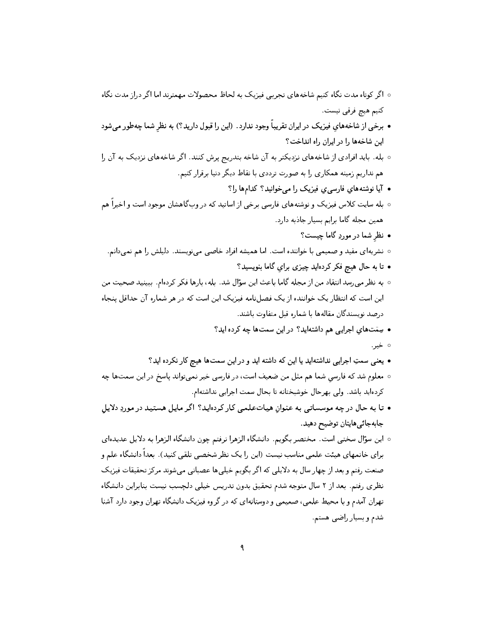- اگر کوتاه مدت نگاه کنیم شاخههای تجربی فیزیک به لحاظ محصولات مهمترند اما اگر دراز مدت نگاه كنيم هيچ فرقى نيست.
- برخی از شاخههای فیزیک در ایران تقریباً وجود ندارد. (این را قبول دارید؟) به نظر شما چهطور می شود این شاخهها را در ایران راه انداخت؟
- ه بله. باید افرادی از شاخههای نزدیکتر به آن شاخه بتدریج پرش کنند. اگر شاخههای نزدیک به آن را هم نداریم زمینه همکاری را به صورت ترددی با نقاط دیگر دنیا برقرار کنیم.
	- آیا نوشتههای فارسی ی فیزیک را می خوانید؟ کدامها را؟
- بله سایت کلاس فیزیک و نوشتههای فارسی برخی از اساتید که در وبگاهشان موجود است و اخیراً هم همین مجله گاما برایم بسیار جاذبه دارد.
	- نظر شما در موردِ گاما چیست؟
	- نشریهای مفید و صمیمی با خواننده است. اما همیشه افراد خاصی مینویسند. دلیلش را هم نمیدانم.
		- تا به حال هيچ فكر كردهايد چيزى براي گاما بنويسيد؟
- به نظر مىرسد انتقاد من از مجله گاما باعث اين سؤال شد. بله، بارها فكر كردهام. ببينيد صحبت من این است که انتظار یک خواننده از یک فصلنامه فیزیک این است که در هر شماره آن حداقل پنجاه درصد نویسندگان مقالهها با شماره قبل متفاوت باشند.
	- سِمَتهای اجرایی هم داشتهاید؟ در این سمتها چه کرده اید؟
		- خير .
	- يعني سمتِ اجرايي نداشتهايد يا اين كه داشته ايد و در اين سمتها هيچ كار نكرده ايد؟
- معلوم شد که فارسی شما هم مثل من ضعیف است، در فارسی خیر نمیتواند پاسخ در این سمتها چه كردهايد باشد. ولي بهرحال خوشبختانه تا بحال سمت اجرايي نداشتهام.
- تا به حال در چه موسساتی به عنوان هیاتعلمی کار کردهاید؟ اگر مایل هستید در موردِ دلایل جابەجائ<sub>ى</sub>ھايتان توضيح دھيد.
- این سؤال سختی است. مختصر بگویم. دانشگاه الزهرا نرفتم چون دانشگاه الزهرا به دلایل عدیدهای برای خانمهای هیئت علمی مناسب نیست (این را یک نظر شخصی تلقی کنید). بعداً دانشگاه علم و صنعت رفتم و بعد از چهار سال به دلایلی که اگر بگویم خیلیها عصبانی میشوند مرکز تحقیقات فیزیک نظری رفتم. بعد از ۲ سال متوجه شدم تحقیق بدون تدریس خیلبی دلچسب نیست بنابراین دانشگاه تهران آمدم و با محیط علمی، صمیمی و دوستانهای که در گروه فیزیک دانشگاه تهران وجود دارد آشنا شدم و بسیار راضی هستم.